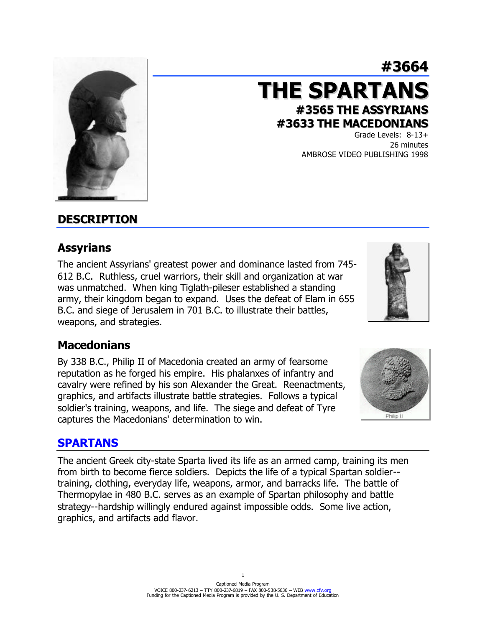#### from birth to become fierce soldiers. Depicts the life of a typical Spartan soldier- training, clothing, everyday life, weapons, armor, and barracks life. The battle of Thermopylae in 480 B.C. serves as an example of Spartan philosophy and battle strategy--hardship willingly endured against impossible odds. Some live action,

The ancient Greek city-state Sparta lived its life as an armed camp, training its men

# **DESCRIPTION**

# **Assyrians**

The ancient Assyrians' greatest power and dominance lasted from 745- 612 B.C. Ruthless, cruel warriors, their skill and organization at war was unmatched. When king Tiglath-pileser established a standing army, their kingdom began to expand. Uses the defeat of Elam in 655 B.C. and siege of Jerusalem in 701 B.C. to illustrate their battles, weapons, and strategies.

### **Macedonians**

By 338 B.C., Philip II of Macedonia created an army of fearsome reputation as he forged his empire. His phalanxes of infantry and cavalry were refined by his son Alexander the Great. Reenactments, graphics, and artifacts illustrate battle strategies. Follows a typical soldier's training, weapons, and life. The siege and defeat of Tyre captures the Macedonians' determination to win.

### **SPARTANS**

graphics, and artifacts add flavor.

**#3633 THE MACEDONIANS** Grade Levels: 8-13+

**#3565 THE ASSYRIANS**

**THE SPARTANS**

26 minutes AMBROSE VIDEO PUBLISHING 1998

**#3664**





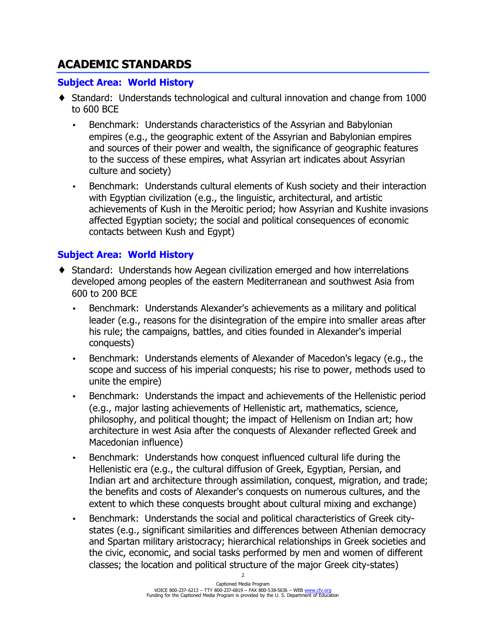# **ACADEMIC STANDARDS**

#### **Subject Area: World History**

- ♦ Standard: Understands technological and cultural innovation and change from 1000 to 600 BCE
	- Benchmark: Understands characteristics of the Assyrian and Babylonian empires (e.g., the geographic extent of the Assyrian and Babylonian empires and sources of their power and wealth, the significance of geographic features to the success of these empires, what Assyrian art indicates about Assyrian culture and society)
	- Benchmark: Understands cultural elements of Kush society and their interaction with Egyptian civilization (e.g., the linguistic, architectural, and artistic achievements of Kush in the Meroitic period; how Assyrian and Kushite invasions affected Egyptian society; the social and political consequences of economic contacts between Kush and Egypt)

### **Subject Area: World History**

- ♦ Standard: Understands how Aegean civilization emerged and how interrelations developed among peoples of the eastern Mediterranean and southwest Asia from 600 to 200 BCE
	- Benchmark: Understands Alexander's achievements as a military and political leader (e.g., reasons for the disintegration of the empire into smaller areas after his rule; the campaigns, battles, and cities founded in Alexander's imperial conquests)
	- Benchmark: Understands elements of Alexander of Macedon's legacy (e.g., the scope and success of his imperial conquests; his rise to power, methods used to unite the empire)
	- Benchmark: Understands the impact and achievements of the Hellenistic period (e.g., major lasting achievements of Hellenistic art, mathematics, science, philosophy, and political thought; the impact of Hellenism on Indian art; how architecture in west Asia after the conquests of Alexander reflected Greek and Macedonian influence)
	- Benchmark: Understands how conquest influenced cultural life during the Hellenistic era (e.g., the cultural diffusion of Greek, Egyptian, Persian, and Indian art and architecture through assimilation, conquest, migration, and trade; the benefits and costs of Alexander's conquests on numerous cultures, and the extent to which these conquests brought about cultural mixing and exchange)
	- Benchmark: Understands the social and political characteristics of Greek citystates (e.g., significant similarities and differences between Athenian democracy and Spartan military aristocracy; hierarchical relationships in Greek societies and the civic, economic, and social tasks performed by men and women of different classes; the location and political structure of the major Greek city-states)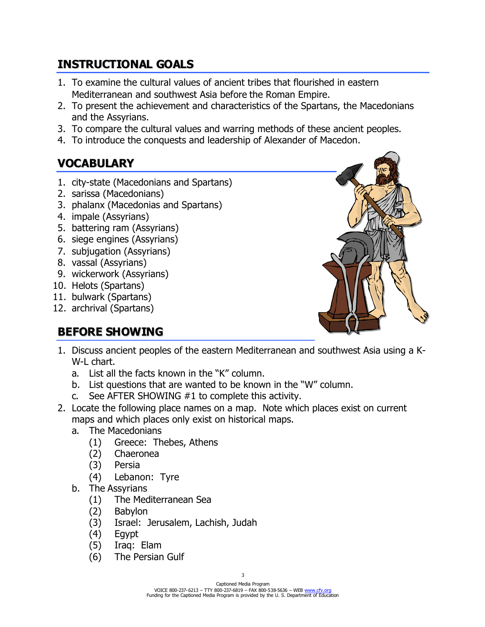# **INSTRUCTIONAL GOALS**

- 1. To examine the cultural values of ancient tribes that flourished in eastern Mediterranean and southwest Asia before the Roman Empire.
- 2. To present the achievement and characteristics of the Spartans, the Macedonians and the Assyrians.
- 3. To compare the cultural values and warring methods of these ancient peoples.
- 4. To introduce the conquests and leadership of Alexander of Macedon.

# **VOCABULARY**

- 1. city-state (Macedonians and Spartans)
- 2. sarissa (Macedonians)
- 3. phalanx (Macedonias and Spartans)
- 4. impale (Assyrians)
- 5. battering ram (Assyrians)
- 6. siege engines (Assyrians)
- 7. subjugation (Assyrians)
- 8. vassal (Assyrians)
- 9. wickerwork (Assyrians)
- 10. Helots (Spartans)
- 11. bulwark (Spartans)
- 12. archrival (Spartans)

# **BEFORE SHOWING**



- 1. Discuss ancient peoples of the eastern Mediterranean and southwest Asia using a K-W-L chart.
	- a. List all the facts known in the "K" column.
	- b. List questions that are wanted to be known in the "W" column.
	- c. See AFTER SHOWING #1 to complete this activity.
- 2. Locate the following place names on a map. Note which places exist on current maps and which places only exist on historical maps.
	- a. The Macedonians
		- (1) Greece: Thebes, Athens
		- (2) Chaeronea
		- (3) Persia
		- (4) Lebanon: Tyre
	- b. The Assyrians
		- (1) The Mediterranean Sea
		- (2) Babylon
		- (3) Israel: Jerusalem, Lachish, Judah
		- (4) Egypt
		- (5) Iraq: Elam
		- (6) The Persian Gulf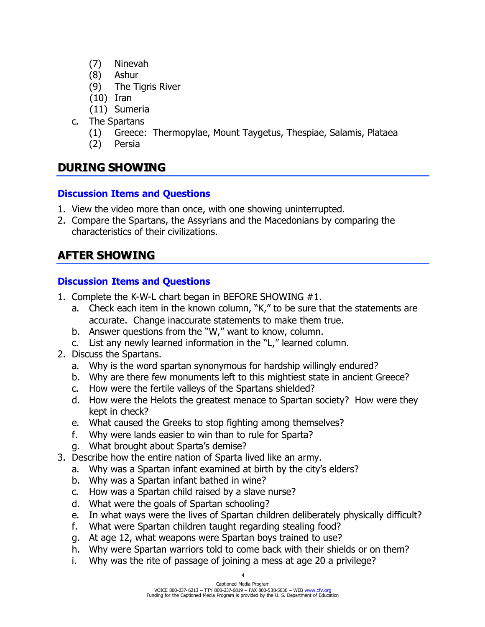- (7) Ninevah
- (8) Ashur
- (9) The Tigris River
- (10) Iran
- (11) Sumeria
- c. The Spartans
	- (1) Greece: Thermopylae, Mount Taygetus, Thespiae, Salamis, Plataea
	- (2) Persia

### **DURING SHOWING**

#### **Discussion Items and Questions**

- 1. View the video more than once, with one showing uninterrupted.
- 2. Compare the Spartans, the Assyrians and the Macedonians by comparing the characteristics of their civilizations.

# **AFTER SHOWING**

### **Discussion Items and Questions**

- 1. Complete the K-W-L chart began in BEFORE SHOWING #1.
	- a. Check each item in the known column, "K," to be sure that the statements are accurate. Change inaccurate statements to make them true.
	- b. Answer questions from the "W," want to know, column.
	- c. List any newly learned information in the "L," learned column.
- 2. Discuss the Spartans.
	- a. Why is the word spartan synonymous for hardship willingly endured?
	- b. Why are there few monuments left to this mightiest state in ancient Greece?
	- c. How were the fertile valleys of the Spartans shielded?
	- d. How were the Helots the greatest menace to Spartan society? How were they kept in check?
	- e. What caused the Greeks to stop fighting among themselves?
	- f. Why were lands easier to win than to rule for Sparta?
	- g. What brought about Sparta's demise?
- 3. Describe how the entire nation of Sparta lived like an army.
	- a. Why was a Spartan infant examined at birth by the city's elders?
	- b. Why was a Spartan infant bathed in wine?
	- c. How was a Spartan child raised by a slave nurse?
	- d. What were the goals of Spartan schooling?
	- e. In what ways were the lives of Spartan children deliberately physically difficult?
	- f. What were Spartan children taught regarding stealing food?
	- g. At age 12, what weapons were Spartan boys trained to use?
	- h. Why were Spartan warriors told to come back with their shields or on them?
	- i. Why was the rite of passage of joining a mess at age 20 a privilege?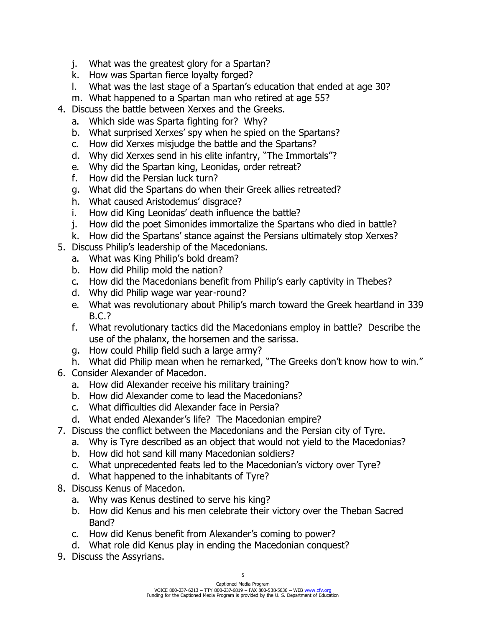- j. What was the greatest glory for a Spartan?
- k. How was Spartan fierce loyalty forged?
- l. What was the last stage of a Spartan's education that ended at age 30?
- m. What happened to a Spartan man who retired at age 55?
- 4. Discuss the battle between Xerxes and the Greeks.
	- a. Which side was Sparta fighting for? Why?
	- b. What surprised Xerxes' spy when he spied on the Spartans?
	- c. How did Xerxes misjudge the battle and the Spartans?
	- d. Why did Xerxes send in his elite infantry, "The Immortals"?
	- e. Why did the Spartan king, Leonidas, order retreat?
	- f. How did the Persian luck turn?
	- g. What did the Spartans do when their Greek allies retreated?
	- h. What caused Aristodemus' disgrace?
	- i. How did King Leonidas' death influence the battle?
	- j. How did the poet Simonides immortalize the Spartans who died in battle?
	- k. How did the Spartans' stance against the Persians ultimately stop Xerxes?
- 5. Discuss Philip's leadership of the Macedonians.
	- a. What was King Philip's bold dream?
	- b. How did Philip mold the nation?
	- c. How did the Macedonians benefit from Philip's early captivity in Thebes?
	- d. Why did Philip wage war year-round?
	- e. What was revolutionary about Philip's march toward the Greek heartland in 339 B.C.?
	- f. What revolutionary tactics did the Macedonians employ in battle? Describe the use of the phalanx, the horsemen and the sarissa.
	- g. How could Philip field such a large army?
	- h. What did Philip mean when he remarked, "The Greeks don't know how to win."
- 6. Consider Alexander of Macedon.
	- a. How did Alexander receive his military training?
	- b. How did Alexander come to lead the Macedonians?
	- c. What difficulties did Alexander face in Persia?
	- d. What ended Alexander's life? The Macedonian empire?
- 7. Discuss the conflict between the Macedonians and the Persian city of Tyre.
	- a. Why is Tyre described as an object that would not yield to the Macedonias?
	- b. How did hot sand kill many Macedonian soldiers?
	- c. What unprecedented feats led to the Macedonian's victory over Tyre?
	- d. What happened to the inhabitants of Tyre?
- 8. Discuss Kenus of Macedon.
	- a. Why was Kenus destined to serve his king?
	- b. How did Kenus and his men celebrate their victory over the Theban Sacred Band?
	- c. How did Kenus benefit from Alexander's coming to power?
	- d. What role did Kenus play in ending the Macedonian conquest?
- 9. Discuss the Assyrians.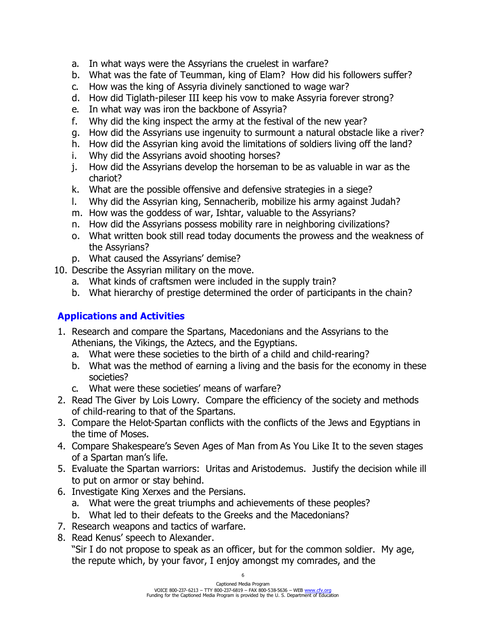- a. In what ways were the Assyrians the cruelest in warfare?
- b. What was the fate of Teumman, king of Elam? How did his followers suffer?
- c. How was the king of Assyria divinely sanctioned to wage war?
- d. How did Tiglath-pileser III keep his vow to make Assyria forever strong?
- e. In what way was iron the backbone of Assyria?
- f. Why did the king inspect the army at the festival of the new year?
- g. How did the Assyrians use ingenuity to surmount a natural obstacle like a river?
- h. How did the Assyrian king avoid the limitations of soldiers living off the land?
- i. Why did the Assyrians avoid shooting horses?
- j. How did the Assyrians develop the horseman to be as valuable in war as the chariot?
- k. What are the possible offensive and defensive strategies in a siege?
- l. Why did the Assyrian king, Sennacherib, mobilize his army against Judah?
- m. How was the goddess of war, Ishtar, valuable to the Assyrians?
- n. How did the Assyrians possess mobility rare in neighboring civilizations?
- o. What written book still read today documents the prowess and the weakness of the Assyrians?
- p. What caused the Assyrians' demise?
- 10. Describe the Assyrian military on the move.
	- a. What kinds of craftsmen were included in the supply train?
	- b. What hierarchy of prestige determined the order of participants in the chain?

### **Applications and Activities**

- 1. Research and compare the Spartans, Macedonians and the Assyrians to the Athenians, the Vikings, the Aztecs, and the Egyptians.
	- a. What were these societies to the birth of a child and child-rearing?
	- b. What was the method of earning a living and the basis for the economy in these societies?
	- c. What were these societies' means of warfare?
- 2. Read The Giver by Lois Lowry. Compare the efficiency of the society and methods of child-rearing to that of the Spartans.
- 3. Compare the Helot-Spartan conflicts with the conflicts of the Jews and Egyptians in the time of Moses.
- 4. Compare Shakespeare's Seven Ages of Man from As You Like It to the seven stages of a Spartan man's life.
- 5. Evaluate the Spartan warriors: Uritas and Aristodemus. Justify the decision while ill to put on armor or stay behind.
- 6. Investigate King Xerxes and the Persians.
	- a. What were the great triumphs and achievements of these peoples?
	- b. What led to their defeats to the Greeks and the Macedonians?
- 7. Research weapons and tactics of warfare.
- 8. Read Kenus' speech to Alexander.

"Sir I do not propose to speak as an officer, but for the common soldier. My age, the repute which, by your favor, I enjoy amongst my comrades, and the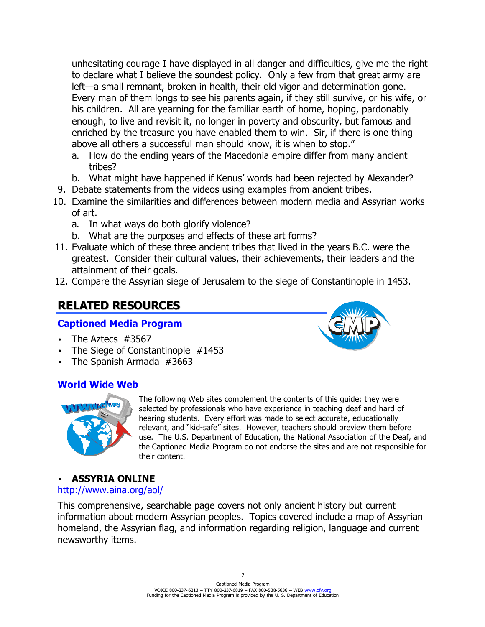unhesitating courage I have displayed in all danger and difficulties, give me the right to declare what I believe the soundest policy. Only a few from that great army are left—a small remnant, broken in health, their old vigor and determination gone. Every man of them longs to see his parents again, if they still survive, or his wife, or his children. All are yearning for the familiar earth of home, hoping, pardonably enough, to live and revisit it, no longer in poverty and obscurity, but famous and enriched by the treasure you have enabled them to win. Sir, if there is one thing above all others a successful man should know, it is when to stop."

- a. How do the ending years of the Macedonia empire differ from many ancient tribes?
- b. What might have happened if Kenus' words had been rejected by Alexander?
- 9. Debate statements from the videos using examples from ancient tribes.
- 10. Examine the similarities and differences between modern media and Assyrian works of art.
	- a. In what ways do both glorify violence?
	- b. What are the purposes and effects of these art forms?
- 11. Evaluate which of these three ancient tribes that lived in the years B.C. were the greatest. Consider their cultural values, their achievements, their leaders and the attainment of their goals.
- 12. Compare the Assyrian siege of Jerusalem to the siege of Constantinople in 1453.

# **RELATED RESOURCES**

#### **Captioned Media Program**

- The Aztecs #3567
- The Siege of Constantinople #1453
- The Spanish Armada #3663

### **World Wide Web**



The following Web sites complement the contents of this guide; they were selected by professionals who have experience in teaching deaf and hard of hearing students. Every effort was made to select accurate, educationally relevant, and "kid-safe" sites. However, teachers should preview them before use. The U.S. Department of Education, the National Association of the Deaf, and the Captioned Media Program do not endorse the sites and are not responsible for their content.

#### • **ASSYRIA ONLINE**

#### http://www.aina.org/aol/

This comprehensive, searchable page covers not only ancient history but current information about modern Assyrian peoples. Topics covered include a map of Assyrian homeland, the Assyrian flag, and information regarding religion, language and current newsworthy items.